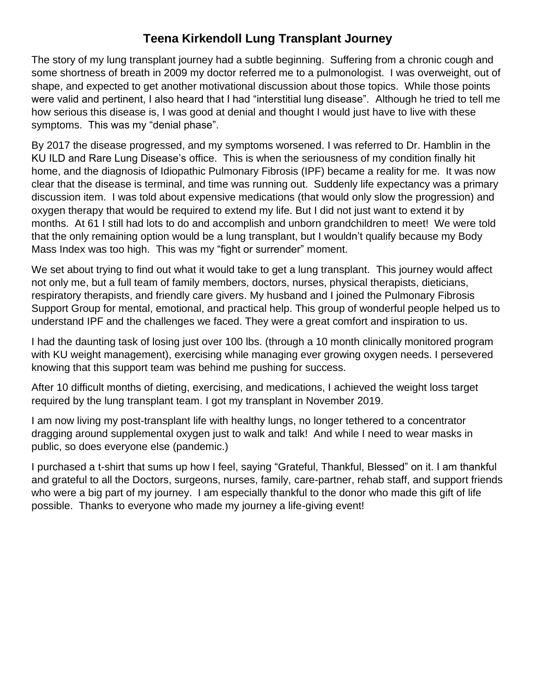## **Teena Kirkendoll Lung Transplant Journey**

The story of my lung transplant journey had a subtle beginning. Suffering from a chronic cough and some shortness of breath in 2009 my doctor referred me to a pulmonologist. I was overweight, out of shape, and expected to get another motivational discussion about those topics. While those points were valid and pertinent, I also heard that I had "interstitial lung disease". Although he tried to tell me how serious this disease is, I was good at denial and thought I would just have to live with these symptoms. This was my "denial phase".

By 2017 the disease progressed, and my symptoms worsened. I was referred to Dr. Hamblin in the KU ILD and Rare Lung Disease's office. This is when the seriousness of my condition finally hit home, and the diagnosis of Idiopathic Pulmonary Fibrosis (IPF) became a reality for me. It was now clear that the disease is terminal, and time was running out. Suddenly life expectancy was a primary discussion item. I was told about expensive medications (that would only slow the progression) and oxygen therapy that would be required to extend my life. But I did not just want to extend it by months. At 61 I still had lots to do and accomplish and unborn grandchildren to meet! We were told that the only remaining option would be a lung transplant, but I wouldn't qualify because my Body Mass Index was too high. This was my "fight or surrender" moment.

We set about trying to find out what it would take to get a lung transplant. This journey would affect not only me, but a full team of family members, doctors, nurses, physical therapists, dieticians, respiratory therapists, and friendly care givers. My husband and I joined the Pulmonary Fibrosis Support Group for mental, emotional, and practical help. This group of wonderful people helped us to understand IPF and the challenges we faced. They were a great comfort and inspiration to us.

I had the daunting task of losing just over 100 lbs. (through a 10 month clinically monitored program with KU weight management), exercising while managing ever growing oxygen needs. I persevered knowing that this support team was behind me pushing for success.

After 10 difficult months of dieting, exercising, and medications, I achieved the weight loss target required by the lung transplant team. I got my transplant in November 2019.

I am now living my post-transplant life with healthy lungs, no longer tethered to a concentrator dragging around supplemental oxygen just to walk and talk! And while I need to wear masks in public, so does everyone else (pandemic.)

I purchased a t-shirt that sums up how I feel, saying "Grateful, Thankful, Blessed" on it. I am thankful and grateful to all the Doctors, surgeons, nurses, family, care-partner, rehab staff, and support friends who were a big part of my journey. I am especially thankful to the donor who made this gift of life possible. Thanks to everyone who made my journey a life-giving event!